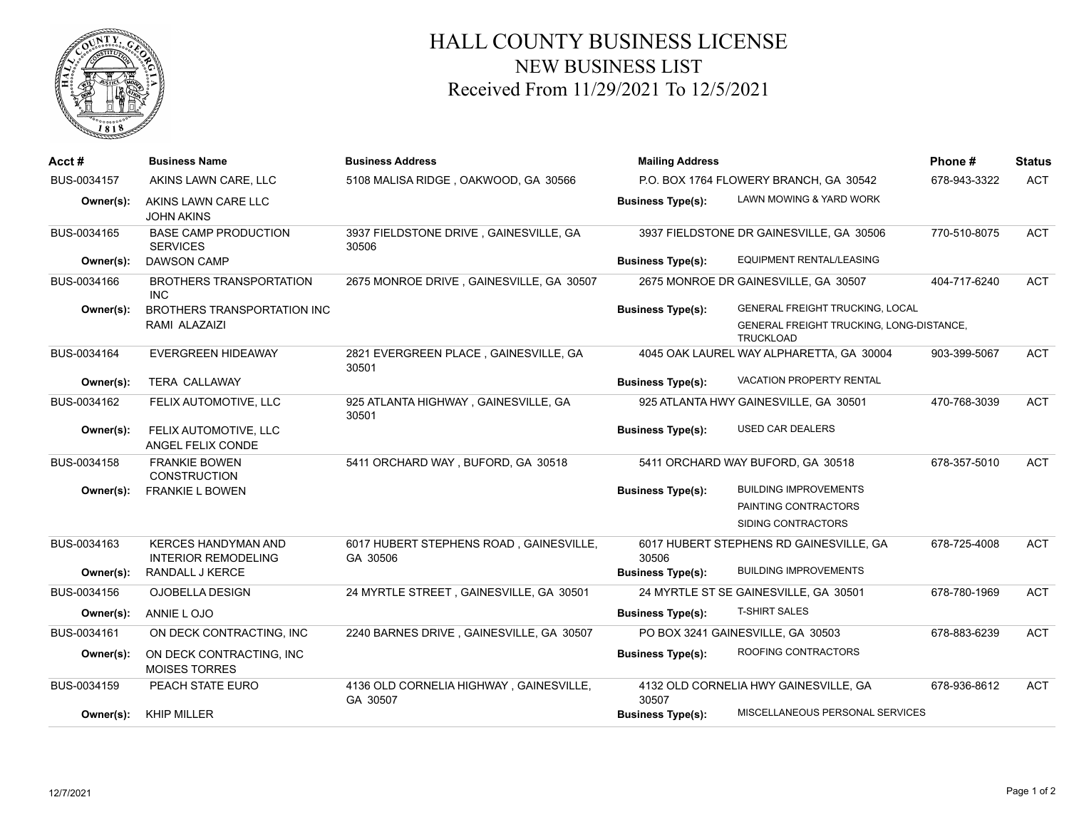

## HALL COUNTY BUSINESS LICENSE NEW BUSINESS LIST Received From 11/29/2021 To 12/5/2021

| Acct#       | <b>Business Name</b>                                     | <b>Business Address</b>                             | <b>Mailing Address</b>                 |                                                              | Phone#       | <b>Status</b> |
|-------------|----------------------------------------------------------|-----------------------------------------------------|----------------------------------------|--------------------------------------------------------------|--------------|---------------|
| BUS-0034157 | AKINS LAWN CARE, LLC                                     | 5108 MALISA RIDGE, OAKWOOD, GA 30566                | P.O. BOX 1764 FLOWERY BRANCH, GA 30542 |                                                              | 678-943-3322 | <b>ACT</b>    |
| Owner(s):   | AKINS LAWN CARE LLC<br><b>JOHN AKINS</b>                 |                                                     | <b>Business Type(s):</b>               | LAWN MOWING & YARD WORK                                      |              |               |
| BUS-0034165 | <b>BASE CAMP PRODUCTION</b><br><b>SERVICES</b>           | 3937 FIELDSTONE DRIVE, GAINESVILLE, GA<br>30506     |                                        | 3937 FIELDSTONE DR GAINESVILLE, GA 30506                     | 770-510-8075 | <b>ACT</b>    |
| Owner(s):   | <b>DAWSON CAMP</b>                                       |                                                     | <b>Business Type(s):</b>               | EQUIPMENT RENTAL/LEASING                                     |              |               |
| BUS-0034166 | <b>BROTHERS TRANSPORTATION</b><br><b>INC</b>             | 2675 MONROE DRIVE, GAINESVILLE, GA 30507            |                                        | 2675 MONROE DR GAINESVILLE, GA 30507                         | 404-717-6240 | <b>ACT</b>    |
| Owner(s):   | <b>BROTHERS TRANSPORTATION INC</b>                       |                                                     | <b>Business Type(s):</b>               | GENERAL FREIGHT TRUCKING, LOCAL                              |              |               |
|             | RAMI ALAZAIZI                                            |                                                     |                                        | GENERAL FREIGHT TRUCKING, LONG-DISTANCE,<br><b>TRUCKLOAD</b> |              |               |
| BUS-0034164 | <b>EVERGREEN HIDEAWAY</b>                                | 2821 EVERGREEN PLACE, GAINESVILLE, GA<br>30501      |                                        | 4045 OAK LAUREL WAY ALPHARETTA, GA 30004                     | 903-399-5067 | <b>ACT</b>    |
| Owner(s):   | <b>TERA CALLAWAY</b>                                     |                                                     | <b>Business Type(s):</b>               | <b>VACATION PROPERTY RENTAL</b>                              |              |               |
| BUS-0034162 | FELIX AUTOMOTIVE, LLC                                    | 925 ATLANTA HIGHWAY, GAINESVILLE, GA<br>30501       |                                        | 925 ATLANTA HWY GAINESVILLE, GA 30501                        | 470-768-3039 | <b>ACT</b>    |
| Owner(s):   | FELIX AUTOMOTIVE, LLC<br>ANGEL FELIX CONDE               |                                                     | <b>Business Type(s):</b>               | USED CAR DEALERS                                             |              |               |
| BUS-0034158 | <b>FRANKIE BOWEN</b><br><b>CONSTRUCTION</b>              | 5411 ORCHARD WAY, BUFORD, GA 30518                  |                                        | 5411 ORCHARD WAY BUFORD, GA 30518                            | 678-357-5010 | <b>ACT</b>    |
| Owner(s):   | <b>FRANKIE L BOWEN</b>                                   |                                                     | <b>Business Type(s):</b>               | <b>BUILDING IMPROVEMENTS</b>                                 |              |               |
|             |                                                          |                                                     |                                        | PAINTING CONTRACTORS                                         |              |               |
|             |                                                          |                                                     |                                        | SIDING CONTRACTORS                                           |              |               |
| BUS-0034163 | <b>KERCES HANDYMAN AND</b><br><b>INTERIOR REMODELING</b> | 6017 HUBERT STEPHENS ROAD, GAINESVILLE,<br>GA 30506 | 30506                                  | 6017 HUBERT STEPHENS RD GAINESVILLE, GA                      | 678-725-4008 | <b>ACT</b>    |
| Owner(s):   | RANDALL J KERCE                                          |                                                     | <b>Business Type(s):</b>               | <b>BUILDING IMPROVEMENTS</b>                                 |              |               |
| BUS-0034156 | OJOBELLA DESIGN                                          | 24 MYRTLE STREET, GAINESVILLE, GA 30501             |                                        | 24 MYRTLE ST SE GAINESVILLE, GA 30501                        | 678-780-1969 | <b>ACT</b>    |
| Owner(s):   | ANNIE LOJO                                               |                                                     | <b>Business Type(s):</b>               | <b>T-SHIRT SALES</b>                                         |              |               |
| BUS-0034161 | ON DECK CONTRACTING, INC.                                | 2240 BARNES DRIVE, GAINESVILLE, GA 30507            |                                        | PO BOX 3241 GAINESVILLE, GA 30503                            | 678-883-6239 | <b>ACT</b>    |
| Owner(s):   | ON DECK CONTRACTING, INC<br><b>MOISES TORRES</b>         |                                                     | <b>Business Type(s):</b>               | ROOFING CONTRACTORS                                          |              |               |
| BUS-0034159 | PEACH STATE EURO                                         | 4136 OLD CORNELIA HIGHWAY, GAINESVILLE,<br>GA 30507 | 30507                                  | 4132 OLD CORNELIA HWY GAINESVILLE, GA                        | 678-936-8612 | <b>ACT</b>    |
| Owner(s):   | <b>KHIP MILLER</b>                                       |                                                     | <b>Business Type(s):</b>               | MISCELLANEOUS PERSONAL SERVICES                              |              |               |